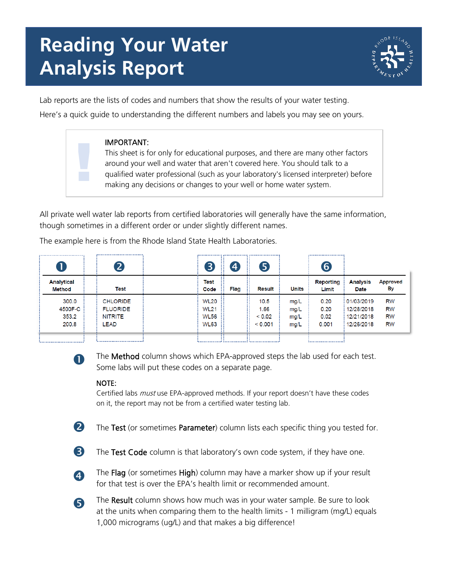# **Reading Your Water Analysis Report**



Lab reports are the lists of codes and numbers that show the results of your water testing. Here's a quick guide to understanding the different numbers and labels you may see on yours.

#### IMPORTANT:

This sheet is for only for educational purposes, and there are many other factors around your well and water that aren't covered here. You should talk to a qualified water professional (such as your laboratory's licensed interpreter) before making any decisions or changes to your well or home water system.

All private well water lab reports from certified laboratories will generally have the same information, though sometimes in a different order or under slightly different names.

The example here is from the Rhode Island State Health Laboratories.

|                             | <br>$\mathbf{Z}$ | $\boxed{3}$  | $\overline{\mathbf{4}}$<br>. . | $\bm{5}$      |              | <br>6                     |                         |                       |
|-----------------------------|------------------|--------------|--------------------------------|---------------|--------------|---------------------------|-------------------------|-----------------------|
| Analytical<br><b>Method</b> | Test             | Test<br>Code | Flag                           | <b>Result</b> | <b>Units</b> | <b>Reporting</b><br>Limit | <b>Analysis</b><br>Date | <b>Approved</b><br>Вy |
| 300.0                       | <b>CHLORIDE</b>  | <b>WL20</b>  |                                | 10.5          | mg/L         | 0.20                      | : 01/03/2019            | <b>RW</b>             |
| 4500F-C                     | <b>FLUORIDE</b>  | <b>WL21</b>  |                                | .66           | mg/L         | 0.20                      | 12/28/2018              | <b>RW</b>             |
| 353.2                       | NITRITE          | <b>WL56</b>  |                                | < 0.02        | mg/L         | 0.02                      | 12/21/2018              | <b>RW</b>             |
| 200.8                       | LEAD             | <b>WL63</b>  |                                | < 0.001       | mg/L         | 0.001                     | 12/26/2018              | RW                    |
|                             |                  |              |                                |               |              |                           |                         |                       |



!<br>!

The Method column shows which EPA-approved steps the lab used for each test. Some labs will put these codes on a separate page.

#### NOTE:

Certified labs *must* use EPA-approved methods. If your report doesn't have these codes on it, the report may not be from a certified water testing lab.

**2** The Test (or sometimes Parameter) column lists each specific thing you tested for.

**3** The Test Code column is that laboratory's own code system, if they have one.



**4** The Flag (or sometimes High) column may have a marker show up if your result for that test is over the EPA's health limit or recommended amount.

 The Result column shows how much was in your water sample. Be sure to look at the units when comparing them to the health limits - 1 milligram (mg/L) equals 1,000 micrograms (ug/L) and that makes a big difference!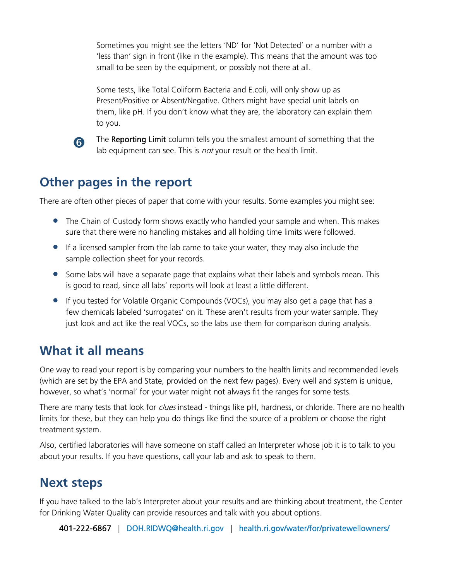Sometimes you might see the letters 'ND' for 'Not Detected' or a number with a 'less than' sign in front (like in the example). This means that the amount was too small to be seen by the equipment, or possibly not there at all.

Some tests, like Total Coliform Bacteria and E.coli, will only show up as Present/Positive or Absent/Negative. Others might have special unit labels on them, like pH. If you don't know what they are, the laboratory can explain them to you.



The Reporting Limit column tells you the smallest amount of something that the lab equipment can see. This is *not* your result or the health limit.

## **Other pages in the report**

There are often other pieces of paper that come with your results. Some examples you might see:

- The Chain of Custody form shows exactly who handled your sample and when. This makes sure that there were no handling mistakes and all holding time limits were followed.
- If a licensed sampler from the lab came to take your water, they may also include the sample collection sheet for your records.
- Some labs will have a separate page that explains what their labels and symbols mean. This is good to read, since all labs' reports will look at least a little different.
- If you tested for Volatile Organic Compounds (VOCs), you may also get a page that has a few chemicals labeled 'surrogates' on it. These aren't results from your water sample. They just look and act like the real VOCs, so the labs use them for comparison during analysis.

## **What it all means**

One way to read your report is by comparing your numbers to the health limits and recommended levels (which are set by the EPA and State, provided on the next few pages). Every well and system is unique, however, so what's 'normal' for your water might not always fit the ranges for some tests.

There are many tests that look for *clues* instead - things like pH, hardness, or chloride. There are no health limits for these, but they can help you do things like find the source of a problem or choose the right treatment system.

Also, certified laboratories will have someone on staff called an Interpreter whose job it is to talk to you about your results. If you have questions, call your lab and ask to speak to them.

## **Next steps**

If you have talked to the lab's Interpreter about your results and are thinking about treatment, the Center for Drinking Water Quality can provide resources and talk with you about options.

401-222-6867 | [DOH.RIDWQ@health.ri.gov](mailto:DOH.RIDWQ@health.ri.gov) | [health.ri.gov/water/for/privatewellowners/](https://health.ri.gov/water/for/privatewellowners/)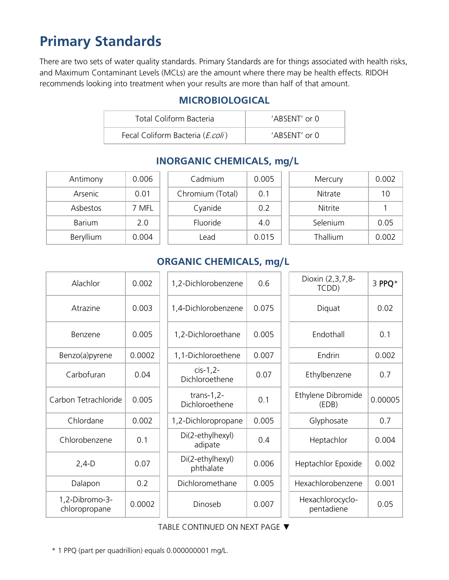# **Primary Standards**

There are two sets of water quality standards. Primary Standards are for things associated with health risks, and Maximum Contaminant Levels (MCLs) are the amount where there may be health effects. RIDOH recommends looking into treatment when your results are more than half of that amount.

#### **MICROBIOLOGICAL**

| Total Coliform Bacteria          | $'ABSENT'$ or $\Omega$ |
|----------------------------------|------------------------|
| Fecal Coliform Bacteria (E.coli) | $'ABSENT'$ or $\Omega$ |

| Antimony  | 0.006 |
|-----------|-------|
| Arsenic   | 0.01  |
| Ashestos  | 7 MFI |
| Barium    | 20    |
| Beryllium | 0.004 |

| Antimony  | 0.006 | Cadmium          | 0.005 | Mercury  | 0.002 |
|-----------|-------|------------------|-------|----------|-------|
| Arsenic   | 0.01  | Chromium (Total) | 0.1   | Nitrate  | 10    |
| Asbestos  | 7 MFL | Cyanide          | 0.2   | Nitrite  |       |
| Barium    | 2.0   | Fluoride         | 4.0   | Selenium | 0.05  |
| Beryllium | 0.004 | Lead             | 0.015 | Thallium | 0.002 |

## **INORGANIC CHEMICALS, mg/L**

| Nitrate  | 10    |
|----------|-------|
| Nitrite  |       |
| Selenium | 0.05  |
| Thallium | 0.002 |
|          |       |

### **ORGANIC CHEMICALS, mg/L**

| Alachlor                        | 0.002  | 1,2-Dichlorobenzene             | 0.6   | Dioxin (2,3,7,8-<br>TCDD)      | 3 PPQ*  |
|---------------------------------|--------|---------------------------------|-------|--------------------------------|---------|
| Atrazine                        | 0.003  | 1,4-Dichlorobenzene             | 0.075 | Diquat                         | 0.02    |
| Benzene                         | 0.005  | 1,2-Dichloroethane              | 0.005 | Endothall                      | 0.1     |
| Benzo(a)pyrene                  | 0.0002 | 1,1-Dichloroethene              | 0.007 | Endrin                         | 0.002   |
| Carbofuran                      | 0.04   | $cis-1,2-$<br>Dichloroethene    | 0.07  | Ethylbenzene                   | 0.7     |
| Carbon Tetrachloride            | 0.005  | trans- $1,2-$<br>Dichloroethene | 0.1   | Ethylene Dibromide<br>(EDB)    | 0.00005 |
| Chlordane                       | 0.002  | 1,2-Dichloropropane             | 0.005 | Glyphosate                     | 0.7     |
| Chlorobenzene                   | 0.1    | Di(2-ethylhexyl)<br>adipate     | 0.4   | Heptachlor                     | 0.004   |
| $2,4-D$                         | 0.07   | Di(2-ethylhexyl)<br>phthalate   | 0.006 | Heptachlor Epoxide             | 0.002   |
| Dalapon                         | 0.2    | Dichloromethane                 | 0.005 | Hexachlorobenzene              | 0.001   |
| 1,2-Dibromo-3-<br>chloropropane | 0.0002 | Dinoseb                         | 0.007 | Hexachlorocyclo-<br>pentadiene | 0.05    |

TABLE CONTINUED ON NEXT PAGE ▼

\* 1 PPQ (part per quadrillion) equals 0.000000001 mg/L.